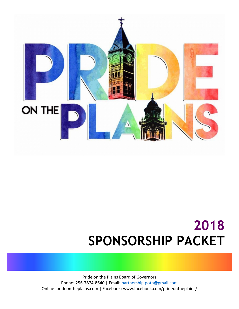

## **2018 SPONSORSHIP PACKET**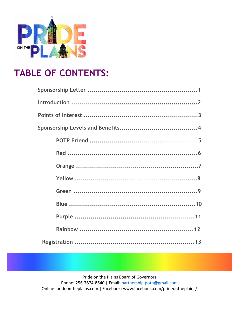

## **TABLE OF CONTENTS:**

Pride on the Plains Board of Governors

Phone: 256-7874-8640 | Email: partnership.potp@gmail.com Online: prideontheplains.com | Facebook: www.facebook.com/prideontheplains/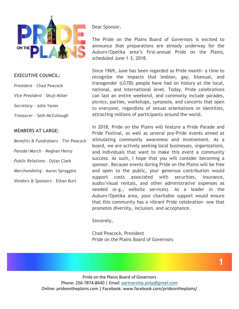

#### **EXECUTIVE COUNCIL:**

*President* – Chad Peacock

*Vice President* – Shuji Miller

*Secretary* – Julio Yanes

*Treasurer* – Seth McCollough

#### **MEMBERS AT LARGE:**

*Benefits & Fundraisers* – Tim Peacock *Parade/March* – Meghan Henry *Public Relations* – Dylan Clark *Merchandising* – Aaron Spraggins *Vendors & Sponsors* – Ethan Burt

Dear Sponsor,

The Pride on the Plains Board of Governors is excited to announce that preparations are already underway for the Auburn/Opelika area's first-annual Pride on the Plains, scheduled June 1–3, 2018.

Since 1969, June has been regarded as Pride month– a time to recognize the impacts that lesbian, gay, bisexual, and transgender (LGTB) people have had on history at the local, national, and international level. Today, Pride celebrations can last an entire weekend, and commonly include parades, picnics, parties, workshops, symposia, and concerts that open to everyone, regardless of sexual orientations or identities, attracting millions of participants around the world.

In 2018, Pride on the Plains will feature a Pride Parade and Pride Festival, as well as several pre-Pride events aimed at stimulating community awareness and involvement. As a board, we are actively seeking local businesses, organizations, and individuals that want to make this event a community success. As such, I hope that you will consider becoming a sponsor. Because events during Pride on the Plains will be free and open to the public, your generous contribution would support costs associated with securities, insurance, audio/visual rentals, and other administrative expenses as needed (e.g., website services). As a leader in the Auburn/Opelika area, your charitable support would ensure that this community has a vibrant Pride celebration– one that promotes diversity, inclusion, and acceptance.

Sincerely,

Chad Peacock, President Pride on the Plains Board of Governors

**1**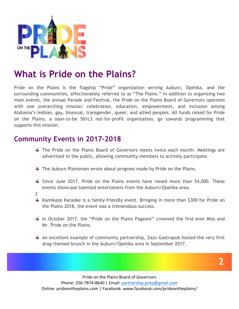

### **What is Pride on the Plains?**

Pride on the Plains is the flagship "Pride" organization serving Auburn, Opelika, and the surrounding communities, affectionately referred to as "The Plains." In addition to organizing two main events, the annual Parade and Festival, the Pride on the Plains Board of Governors operates with one overarching mission: celebration, education, empowerment, and inclusion among Alabama's lesbian, gay, bisexual, transgender, queer, and allied peoples. All funds raised for Pride on the Plains, a soon-to-be 501c3 not-for-profit organization, go towards programming that supports this mission.

#### **Community Events in 2017-2018**

- $\ddot$  The Pride on the Plains Board of Governors meets twice each month. Meetings are advertised to the public, allowing community members to actively participate.
- $\ddagger$  The Auburn Plainsman wrote about progress made by Pride on the Plains.
- $\ddot$  Since June 2017, Pride on the Plains events have raised more than \$4,000. These events showcase talented entertainers from the Auburn/Opelika area.
- 2
- $\ddot{\phantom{1}}$  Kamikaze Karaoke is a family-friendly event. Bringing in more than \$300 for Pride on the Plains 2018, the event was a tremendous success.
- $\downarrow$  In October 2017, the "Pride on the Plains Pageant" crowned the first-ever Miss and Mr. Pride on the Plains.
- $\ddot{+}$  An excellent example of community partnership, Zazu Gastropub hosted the very first drag-themed brunch in the Auburn/Opelika area in September 2017.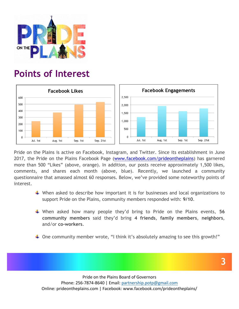

### **Points of Interest**



Pride on the Plains is active on Facebook, Instagram, and Twitter. Since its establishment in June 2017, the Pride on the Plains Facebook Page (www.facebook.com/prideontheplains) has garnered more than 500 "Likes" (above, orange). In addition, our posts receive approximately 1,500 likes, comments, and shares each month (above, blue). Recently, we launched a community questionnaire that amassed almost 60 responses. Below, we've provided some noteworthy points of interest.

- $\ddotplus$  When asked to describe how important it is for businesses and local organizations to support Pride on the Plains, community members responded with: **9/10**.
- When asked how many people they'd bring to Pride on the Plains events, **56 community members** said they'd bring **4 friends**, **family members**, **neighbors**, and/or **co-workers**.
- $\downarrow$  One community member wrote, "I think it's absolutely amazing to see this growth!"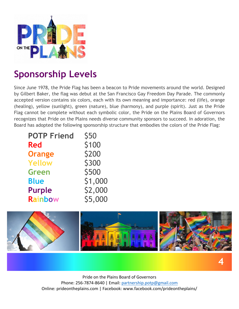

## **Sponsorship Levels**

Since June 1978, the Pride Flag has been a beacon to Pride movements around the world. Designed by Gilbert Baker, the flag was debut at the San Francisco Gay Freedom Day Parade. The commonly accepted version contains six colors, each with its own meaning and importance: red (life), orange (healing), yellow (sunlight), green (nature), blue (harmony), and purple (spirit). Just as the Pride Flag cannot be complete without each symbolic color, the Pride on the Plains Board of Governors recognizes that Pride on the Plains needs diverse community sponsors to succeed. In adoration, the Board has adopted the following sponsorship structure that embodies the colors of the Pride Flag:

| <b>POTP Friend</b> | <b>\$50</b> |
|--------------------|-------------|
| <b>Red</b>         | \$100       |
| <b>Orange</b>      | \$200       |
| <b>Yellow</b>      | \$300       |
| <b>Green</b>       | \$500       |
| <b>Blue</b>        | \$1,000     |
| <b>Purple</b>      | \$2,000     |
| Rainbow            | \$5,000     |

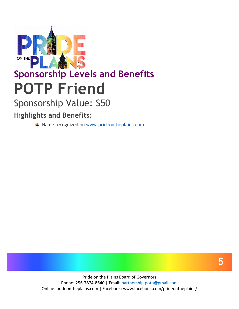

## **Sponsorship Levels and Benefits POTP Friend**

## Sponsorship Value: \$50

#### **Highlights and Benefits:**

↓ Name recognized on www.prideontheplains.com.

**5**

**5**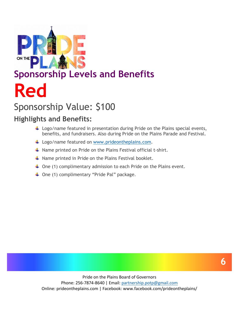

## **Sponsorship Levels and Benefits Red**

## Sponsorship Value: \$100

#### **Highlights and Benefits:**

- $\ddot{\phantom{1}}$  Logo/name featured in presentation during Pride on the Plains special events, benefits, and fundraisers. Also during Pride on the Plains Parade and Festival.
- $\ddagger$  Logo/name featured on www.prideontheplains.com.
- $\downarrow$  Name printed on Pride on the Plains Festival official t-shirt.
- $\ddagger$  Name printed in Pride on the Plains Festival booklet.
- $\ddot{+}$  One (1) complimentary admission to each Pride on the Plains event.
- $\downarrow$  One (1) complimentary "Pride Pal" package.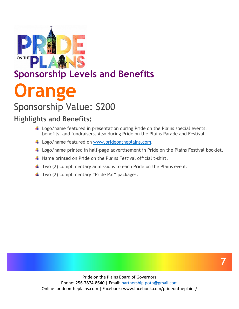

# **Sponsorship Levels and Benefits Orange**

## Sponsorship Value: \$200

#### **Highlights and Benefits:**

- $\ddot{\phantom{1}}$  Logo/name featured in presentation during Pride on the Plains special events, benefits, and fundraisers. Also during Pride on the Plains Parade and Festival.
- $\ddagger$  Logo/name featured on www.prideontheplains.com.
- $\ddotplus$  Logo/name printed in half-page advertisement in Pride on the Plains Festival booklet.
- $\ddotplus$  Name printed on Pride on the Plains Festival official t-shirt.
- $\ddot{+}$  Two (2) complimentary admissions to each Pride on the Plains event.
- $\ddotplus$  Two (2) complimentary "Pride Pal" packages.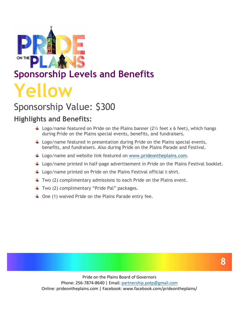

## Sponsorship Value: \$300

#### **Highlights and Benefits:**

- Logo/name featured on Pride on the Plains banner  $(2\frac{1}{2})$  feet x 6 feet), which hangs during Pride on the Plains special events, benefits, and fundraisers.
- $\ddot{\phantom{1}}$  Logo/name featured in presentation during Pride on the Plains special events, benefits, and fundraisers. Also during Pride on the Plains Parade and Festival.
- Logo/name and website link featured on www.prideontheplains.com.
- $\ddot{+}$  Logo/name printed in half-page advertisement in Pride on the Plains Festival booklet.
- $\ddot{+}$  Logo/name printed on Pride on the Plains Festival official t-shirt.
- $\ddotplus$  Two (2) complimentary admissions to each Pride on the Plains event.
- $\ddotplus$  Two (2) complimentary "Pride Pal" packages.
- $\downarrow$  One (1) waived Pride on the Plains Parade entry fee.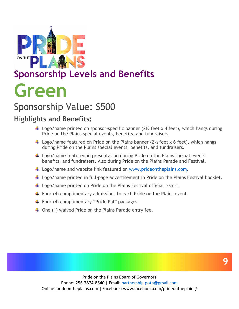

## Sponsorship Value: \$500

#### **Highlights and Benefits:**

- Logo/name printed on sponsor-specific banner  $(2\frac{1}{2})$  feet x 4 feet), which hangs during Pride on the Plains special events, benefits, and fundraisers.
- Logo/name featured on Pride on the Plains banner  $(2\frac{1}{2})$  feet x 6 feet), which hangs during Pride on the Plains special events, benefits, and fundraisers.
- $\ddot{+}$  Logo/name featured in presentation during Pride on the Plains special events, benefits, and fundraisers. Also during Pride on the Plains Parade and Festival.
- $\ddagger$  Logo/name and website link featured on www.prideontheplains.com.
- $\ddot{\phantom{1}}$  Logo/name printed in full-page advertisement in Pride on the Plains Festival booklet.
- $\ddagger$  Logo/name printed on Pride on the Plains Festival official t-shirt.
- $\downarrow$  Four (4) complimentary admissions to each Pride on the Plains event.
- $\ddotplus$  Four (4) complimentary "Pride Pal" packages.
- $\downarrow$  One (1) waived Pride on the Plains Parade entry fee.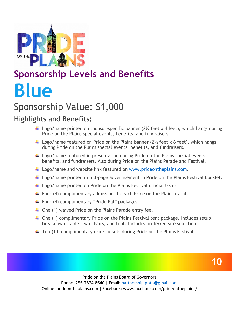

## **Sponsorship Levels and Benefits Blue**

## Sponsorship Value: \$1,000

#### **Highlights and Benefits:**

- Logo/name printed on sponsor-specific banner  $(2\frac{1}{2})$  feet x 4 feet), which hangs during Pride on the Plains special events, benefits, and fundraisers.
- Logo/name featured on Pride on the Plains banner  $(2\frac{1}{2})$  feet x 6 feet), which hangs during Pride on the Plains special events, benefits, and fundraisers.
- $\ddot{+}$  Logo/name featured in presentation during Pride on the Plains special events, benefits, and fundraisers. Also during Pride on the Plains Parade and Festival.
- Logo/name and website link featured on www.prideontheplains.com.
- $\ddot{\phantom{1}}$  Logo/name printed in full-page advertisement in Pride on the Plains Festival booklet.
- $\ddagger$  Logo/name printed on Pride on the Plains Festival official t-shirt.
- $\downarrow$  Four (4) complimentary admissions to each Pride on the Plains event.
- $\ddotplus$  Four (4) complimentary "Pride Pal" packages.
- $\downarrow$  One (1) waived Pride on the Plains Parade entry fee.
- $\downarrow$  One (1) complimentary Pride on the Plains Festival tent package. Includes setup, breakdown, table, two chairs, and tent. Includes preferred site selection.
- $\ddotplus$  Ten (10) complimentary drink tickets during Pride on the Plains Festival.

**10**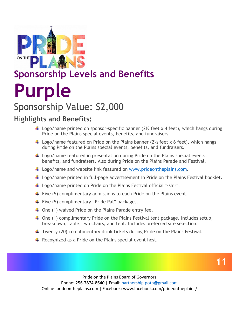

# **Sponsorship Levels and Benefits Purple**

## Sponsorship Value: \$2,000

#### **Highlights and Benefits:**

- Logo/name printed on sponsor-specific banner  $(2\frac{1}{2})$  feet x 4 feet), which hangs during Pride on the Plains special events, benefits, and fundraisers.
- Logo/name featured on Pride on the Plains banner  $(2\frac{1}{2})$  feet x 6 feet), which hangs during Pride on the Plains special events, benefits, and fundraisers.
- $\ddot{\phantom{1}}$  Logo/name featured in presentation during Pride on the Plains special events, benefits, and fundraisers. Also during Pride on the Plains Parade and Festival.
- Logo/name and website link featured on www.prideontheplains.com.
- $\ddot{\phantom{1}}$  Logo/name printed in full-page advertisement in Pride on the Plains Festival booklet.
- $\ddagger$  Logo/name printed on Pride on the Plains Festival official t-shirt.
- $\ddagger$  Five (5) complimentary admissions to each Pride on the Plains event.
- $\ddotplus$  Five (5) complimentary "Pride Pal" packages.
- $\downarrow$  One (1) waived Pride on the Plains Parade entry fee.
- $\downarrow$  One (1) complimentary Pride on the Plains Festival tent package. Includes setup, breakdown, table, two chairs, and tent. Includes preferred site selection.
- $\ddotplus$  Twenty (20) complimentary drink tickets during Pride on the Plains Festival.
- $\ddot{+}$  Recognized as a Pride on the Plains special-event host.

**11**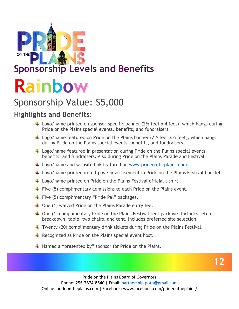

### **Sponsorship Levels and Benefits**

# **Rainbow**

## Sponsorship Value: \$5,000

#### **Highlights and Benefits:**

- Logo/name printed on sponsor-specific banner ( $2\frac{1}{2}$  feet x 4 feet), which hangs during Pride on the Plains special events, benefits, and fundraisers.
- Logo/name featured on Pride on the Plains banner  $(2\frac{1}{2})$  feet x 6 feet), which hangs during Pride on the Plains special events, benefits, and fundraisers.
- $\ddot{\phantom{1}}$  Logo/name featured in presentation during Pride on the Plains special events, benefits, and fundraisers. Also during Pride on the Plains Parade and Festival.
- Logo/name and website link featured on www.prideontheplains.com.
- $\downarrow$  Logo/name printed in full-page advertisement in Pride on the Plains Festival booklet.
- $\ddot{\phantom{1}}$  Logo/name printed on Pride on the Plains Festival official t-shirt.
- Five (5) complimentary admissions to each Pride on the Plains event.
- $\ddotplus$  Five (5) complimentary "Pride Pal" packages.
- $\downarrow$  One (1) waived Pride on the Plains Parade entry fee.
- $\downarrow$  One (1) complimentary Pride on the Plains Festival tent package. Includes setup, breakdown, table, two chairs, and tent. Includes preferred site selection.
- $\ddotplus$  Twenty (20) complimentary drink tickets during Pride on the Plains Festival.
- $\ddot{+}$  Recognized as Pride on the Plains special event host.
- $\ddagger$  Named a "presented by" sponsor for Pride on the Plains.